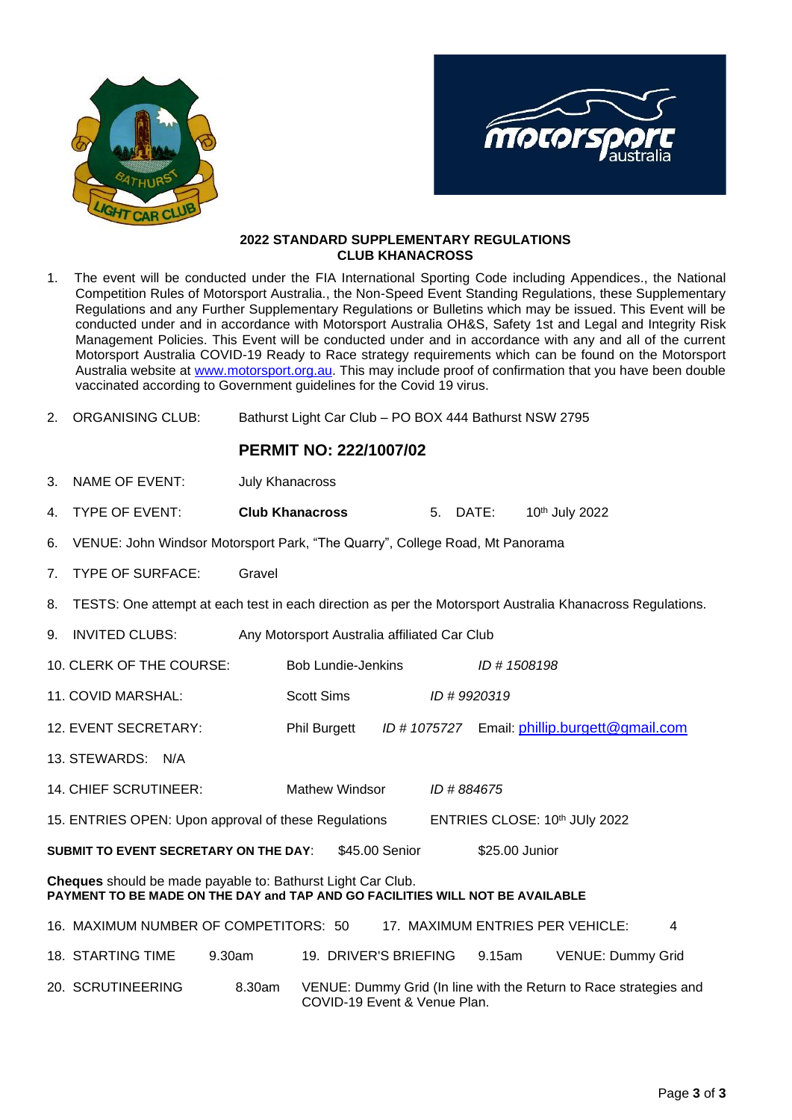



## **2022 STANDARD SUPPLEMENTARY REGULATIONS CLUB KHANACROSS**

| 1.                                                                                                                                           | The event will be conducted under the FIA International Sporting Code including Appendices., the National<br>Competition Rules of Motorsport Australia., the Non-Speed Event Standing Regulations, these Supplementary<br>Regulations and any Further Supplementary Regulations or Bulletins which may be issued. This Event will be<br>conducted under and in accordance with Motorsport Australia OH&S, Safety 1st and Legal and Integrity Risk<br>Management Policies. This Event will be conducted under and in accordance with any and all of the current<br>Motorsport Australia COVID-19 Ready to Race strategy requirements which can be found on the Motorsport<br>Australia website at www.motorsport.org.au. This may include proof of confirmation that you have been double<br>vaccinated according to Government guidelines for the Covid 19 virus. |                                                        |                           |  |  |  |                |                                                                   |  |
|----------------------------------------------------------------------------------------------------------------------------------------------|-------------------------------------------------------------------------------------------------------------------------------------------------------------------------------------------------------------------------------------------------------------------------------------------------------------------------------------------------------------------------------------------------------------------------------------------------------------------------------------------------------------------------------------------------------------------------------------------------------------------------------------------------------------------------------------------------------------------------------------------------------------------------------------------------------------------------------------------------------------------|--------------------------------------------------------|---------------------------|--|--|--|----------------|-------------------------------------------------------------------|--|
| 2.                                                                                                                                           | <b>ORGANISING CLUB:</b>                                                                                                                                                                                                                                                                                                                                                                                                                                                                                                                                                                                                                                                                                                                                                                                                                                           | Bathurst Light Car Club - PO BOX 444 Bathurst NSW 2795 |                           |  |  |  |                |                                                                   |  |
|                                                                                                                                              |                                                                                                                                                                                                                                                                                                                                                                                                                                                                                                                                                                                                                                                                                                                                                                                                                                                                   | <b>PERMIT NO: 222/1007/02</b>                          |                           |  |  |  |                |                                                                   |  |
| 3.                                                                                                                                           | NAME OF EVENT:                                                                                                                                                                                                                                                                                                                                                                                                                                                                                                                                                                                                                                                                                                                                                                                                                                                    | <b>July Khanacross</b>                                 |                           |  |  |  |                |                                                                   |  |
| 4.                                                                                                                                           | <b>TYPE OF EVENT:</b>                                                                                                                                                                                                                                                                                                                                                                                                                                                                                                                                                                                                                                                                                                                                                                                                                                             | <b>Club Khanacross</b><br>5. DATE:                     |                           |  |  |  | 10th July 2022 |                                                                   |  |
| 6.                                                                                                                                           | VENUE: John Windsor Motorsport Park, "The Quarry", College Road, Mt Panorama                                                                                                                                                                                                                                                                                                                                                                                                                                                                                                                                                                                                                                                                                                                                                                                      |                                                        |                           |  |  |  |                |                                                                   |  |
| 7.                                                                                                                                           | <b>TYPE OF SURFACE:</b><br>Gravel                                                                                                                                                                                                                                                                                                                                                                                                                                                                                                                                                                                                                                                                                                                                                                                                                                 |                                                        |                           |  |  |  |                |                                                                   |  |
| 8.                                                                                                                                           | TESTS: One attempt at each test in each direction as per the Motorsport Australia Khanacross Regulations.                                                                                                                                                                                                                                                                                                                                                                                                                                                                                                                                                                                                                                                                                                                                                         |                                                        |                           |  |  |  |                |                                                                   |  |
| 9.                                                                                                                                           | <b>INVITED CLUBS:</b><br>Any Motorsport Australia affiliated Car Club                                                                                                                                                                                                                                                                                                                                                                                                                                                                                                                                                                                                                                                                                                                                                                                             |                                                        |                           |  |  |  |                |                                                                   |  |
|                                                                                                                                              | 10. CLERK OF THE COURSE:                                                                                                                                                                                                                                                                                                                                                                                                                                                                                                                                                                                                                                                                                                                                                                                                                                          |                                                        | <b>Bob Lundie-Jenkins</b> |  |  |  | ID # 1508198   |                                                                   |  |
|                                                                                                                                              | 11. COVID MARSHAL:                                                                                                                                                                                                                                                                                                                                                                                                                                                                                                                                                                                                                                                                                                                                                                                                                                                |                                                        | <b>Scott Sims</b>         |  |  |  | ID #9920319    |                                                                   |  |
|                                                                                                                                              | 12. EVENT SECRETARY:                                                                                                                                                                                                                                                                                                                                                                                                                                                                                                                                                                                                                                                                                                                                                                                                                                              |                                                        | <b>Phil Burgett</b>       |  |  |  |                | ID # 1075727 Email: phillip.burgett@gmail.com                     |  |
|                                                                                                                                              | 13. STEWARDS: N/A                                                                                                                                                                                                                                                                                                                                                                                                                                                                                                                                                                                                                                                                                                                                                                                                                                                 |                                                        |                           |  |  |  |                |                                                                   |  |
|                                                                                                                                              | 14. CHIEF SCRUTINEER:<br><b>Mathew Windsor</b><br>ID #884675                                                                                                                                                                                                                                                                                                                                                                                                                                                                                                                                                                                                                                                                                                                                                                                                      |                                                        |                           |  |  |  |                |                                                                   |  |
| 15. ENTRIES OPEN: Upon approval of these Regulations<br>ENTRIES CLOSE: 10th JUly 2022                                                        |                                                                                                                                                                                                                                                                                                                                                                                                                                                                                                                                                                                                                                                                                                                                                                                                                                                                   |                                                        |                           |  |  |  |                |                                                                   |  |
| \$45.00 Senior<br><b>SUBMIT TO EVENT SECRETARY ON THE DAY:</b><br>\$25.00 Junior                                                             |                                                                                                                                                                                                                                                                                                                                                                                                                                                                                                                                                                                                                                                                                                                                                                                                                                                                   |                                                        |                           |  |  |  |                |                                                                   |  |
| Cheques should be made payable to: Bathurst Light Car Club.<br>PAYMENT TO BE MADE ON THE DAY and TAP AND GO FACILITIES WILL NOT BE AVAILABLE |                                                                                                                                                                                                                                                                                                                                                                                                                                                                                                                                                                                                                                                                                                                                                                                                                                                                   |                                                        |                           |  |  |  |                |                                                                   |  |
|                                                                                                                                              | 16. MAXIMUM NUMBER OF COMPETITORS: 50                                                                                                                                                                                                                                                                                                                                                                                                                                                                                                                                                                                                                                                                                                                                                                                                                             |                                                        |                           |  |  |  |                | 17. MAXIMUM ENTRIES PER VEHICLE:<br>4                             |  |
|                                                                                                                                              | 18. STARTING TIME<br>9.30am                                                                                                                                                                                                                                                                                                                                                                                                                                                                                                                                                                                                                                                                                                                                                                                                                                       |                                                        | 19. DRIVER'S BRIEFING     |  |  |  | 9.15am         | <b>VENUE: Dummy Grid</b>                                          |  |
|                                                                                                                                              | 20. SCRUTINEERING                                                                                                                                                                                                                                                                                                                                                                                                                                                                                                                                                                                                                                                                                                                                                                                                                                                 | 8.30am                                                 |                           |  |  |  |                | VENUE: Dummy Grid (In line with the Return to Race strategies and |  |

COVID-19 Event & Venue Plan.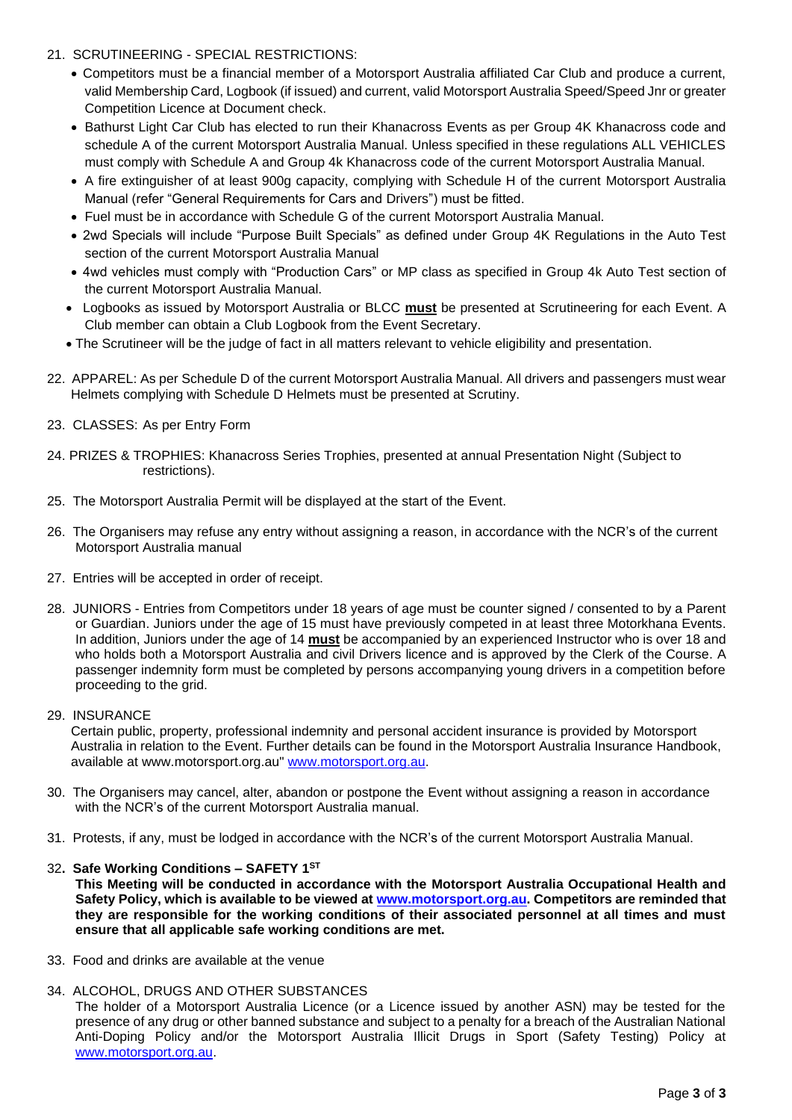- 21. SCRUTINEERING SPECIAL RESTRICTIONS:
	- Competitors must be a financial member of a Motorsport Australia affiliated Car Club and produce a current, valid Membership Card, Logbook (if issued) and current, valid Motorsport Australia Speed/Speed Jnr or greater Competition Licence at Document check.
	- Bathurst Light Car Club has elected to run their Khanacross Events as per Group 4K Khanacross code and schedule A of the current Motorsport Australia Manual. Unless specified in these regulations ALL VEHICLES must comply with Schedule A and Group 4k Khanacross code of the current Motorsport Australia Manual.
	- A fire extinguisher of at least 900g capacity, complying with Schedule H of the current Motorsport Australia Manual (refer "General Requirements for Cars and Drivers") must be fitted.
	- Fuel must be in accordance with Schedule G of the current Motorsport Australia Manual.
	- 2wd Specials will include "Purpose Built Specials" as defined under Group 4K Regulations in the Auto Test section of the current Motorsport Australia Manual
	- 4wd vehicles must comply with "Production Cars" or MP class as specified in Group 4k Auto Test section of the current Motorsport Australia Manual.
	- Logbooks as issued by Motorsport Australia or BLCC **must** be presented at Scrutineering for each Event. A Club member can obtain a Club Logbook from the Event Secretary.
	- The Scrutineer will be the judge of fact in all matters relevant to vehicle eligibility and presentation.
- 22. APPAREL: As per Schedule D of the current Motorsport Australia Manual. All drivers and passengers must wear Helmets complying with Schedule D Helmets must be presented at Scrutiny.
- 23. CLASSES: As per Entry Form
- 24. PRIZES & TROPHIES: Khanacross Series Trophies, presented at annual Presentation Night (Subject to restrictions).
- 25. The Motorsport Australia Permit will be displayed at the start of the Event.
- 26. The Organisers may refuse any entry without assigning a reason, in accordance with the NCR's of the current Motorsport Australia manual
- 27. Entries will be accepted in order of receipt.
- 28. JUNIORS Entries from Competitors under 18 years of age must be counter signed / consented to by a Parent or Guardian. Juniors under the age of 15 must have previously competed in at least three Motorkhana Events. In addition, Juniors under the age of 14 **must** be accompanied by an experienced Instructor who is over 18 and who holds both a Motorsport Australia and civil Drivers licence and is approved by the Clerk of the Course. A passenger indemnity form must be completed by persons accompanying young drivers in a competition before proceeding to the grid.
- 29. INSURANCE

Certain public, property, professional indemnity and personal accident insurance is provided by Motorsport Australia in relation to the Event. Further details can be found in the Motorsport Australia Insurance Handbook, available at www.motorsport.org.au" www.motorsport.org.au.

- 30. The Organisers may cancel, alter, abandon or postpone the Event without assigning a reason in accordance with the NCR's of the current Motorsport Australia manual.
- 31. Protests, if any, must be lodged in accordance with the NCR's of the current Motorsport Australia Manual.

### 32**. Safe Working Conditions – SAFETY 1ST**

**This Meeting will be conducted in accordance with the Motorsport Australia Occupational Health and Safety Policy, which is available to be viewed at www.motorsport.org.au. Competitors are reminded that they are responsible for the working conditions of their associated personnel at all times and must ensure that all applicable safe working conditions are met.** 

33. Food and drinks are available at the venue

### 34. ALCOHOL, DRUGS AND OTHER SUBSTANCES

The holder of a Motorsport Australia Licence (or a Licence issued by another ASN) may be tested for the presence of any drug or other banned substance and subject to a penalty for a breach of the Australian National Anti-Doping Policy and/or the Motorsport Australia Illicit Drugs in Sport (Safety Testing) Policy at [www.motorsport.org.au.](http://www.motorsport.org.au/)